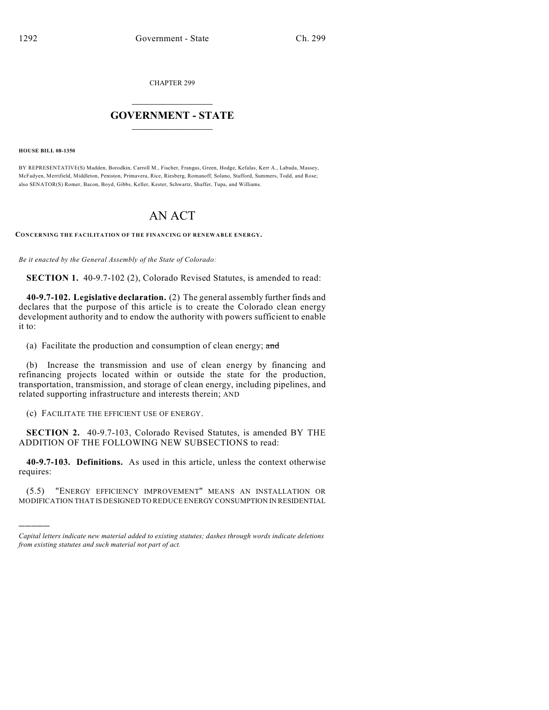CHAPTER 299

## $\overline{\phantom{a}}$  . The set of the set of the set of the set of the set of the set of the set of the set of the set of the set of the set of the set of the set of the set of the set of the set of the set of the set of the set o **GOVERNMENT - STATE**  $\_$

**HOUSE BILL 08-1350**

)))))

BY REPRESENTATIVE(S) Madden, Borodkin, Carroll M., Fischer, Frangas, Green, Hodge, Kefalas, Kerr A., Labuda, Massey, McFadyen, Merrifield, Middleton, Peniston, Primavera, Rice, Riesberg, Romanoff, Solano, Stafford, Summers, Todd, and Rose; also SENATOR(S) Romer, Bacon, Boyd, Gibbs, Keller, Kester, Schwartz, Shaffer, Tupa, and Williams.

# AN ACT

**CONCERNING THE FACILITATION OF THE FINANCING OF RENEWABLE ENERGY.**

*Be it enacted by the General Assembly of the State of Colorado:*

**SECTION 1.** 40-9.7-102 (2), Colorado Revised Statutes, is amended to read:

**40-9.7-102. Legislative declaration.** (2) The general assembly further finds and declares that the purpose of this article is to create the Colorado clean energy development authority and to endow the authority with powers sufficient to enable it to:

(a) Facilitate the production and consumption of clean energy;  $\alpha$ nd

(b) Increase the transmission and use of clean energy by financing and refinancing projects located within or outside the state for the production, transportation, transmission, and storage of clean energy, including pipelines, and related supporting infrastructure and interests therein; AND

(c) FACILITATE THE EFFICIENT USE OF ENERGY.

**SECTION 2.** 40-9.7-103, Colorado Revised Statutes, is amended BY THE ADDITION OF THE FOLLOWING NEW SUBSECTIONS to read:

**40-9.7-103. Definitions.** As used in this article, unless the context otherwise requires:

(5.5) "ENERGY EFFICIENCY IMPROVEMENT" MEANS AN INSTALLATION OR MODIFICATION THAT IS DESIGNED TO REDUCE ENERGY CONSUMPTION IN RESIDENTIAL

*Capital letters indicate new material added to existing statutes; dashes through words indicate deletions from existing statutes and such material not part of act.*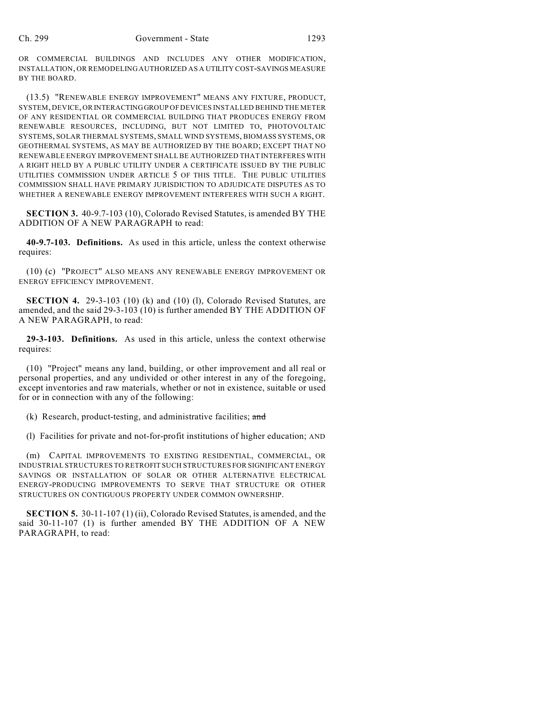OR COMMERCIAL BUILDINGS AND INCLUDES ANY OTHER MODIFICATION, INSTALLATION, OR REMODELING AUTHORIZED AS A UTILITY COST-SAVINGS MEASURE BY THE BOARD.

(13.5) "RENEWABLE ENERGY IMPROVEMENT" MEANS ANY FIXTURE, PRODUCT, SYSTEM, DEVICE, OR INTERACTING GROUP OF DEVICES INSTALLED BEHIND THE METER OF ANY RESIDENTIAL OR COMMERCIAL BUILDING THAT PRODUCES ENERGY FROM RENEWABLE RESOURCES, INCLUDING, BUT NOT LIMITED TO, PHOTOVOLTAIC SYSTEMS, SOLAR THERMAL SYSTEMS, SMALL WIND SYSTEMS, BIOMASS SYSTEMS, OR GEOTHERMAL SYSTEMS, AS MAY BE AUTHORIZED BY THE BOARD; EXCEPT THAT NO RENEWABLE ENERGY IMPROVEMENT SHALL BE AUTHORIZED THAT INTERFERES WITH A RIGHT HELD BY A PUBLIC UTILITY UNDER A CERTIFICATE ISSUED BY THE PUBLIC UTILITIES COMMISSION UNDER ARTICLE 5 OF THIS TITLE. THE PUBLIC UTILITIES COMMISSION SHALL HAVE PRIMARY JURISDICTION TO ADJUDICATE DISPUTES AS TO WHETHER A RENEWABLE ENERGY IMPROVEMENT INTERFERES WITH SUCH A RIGHT.

**SECTION 3.** 40-9.7-103 (10), Colorado Revised Statutes, is amended BY THE ADDITION OF A NEW PARAGRAPH to read:

**40-9.7-103. Definitions.** As used in this article, unless the context otherwise requires:

(10) (c) "PROJECT" ALSO MEANS ANY RENEWABLE ENERGY IMPROVEMENT OR ENERGY EFFICIENCY IMPROVEMENT.

**SECTION 4.** 29-3-103 (10) (k) and (10) (l), Colorado Revised Statutes, are amended, and the said 29-3-103 (10) is further amended BY THE ADDITION OF A NEW PARAGRAPH, to read:

**29-3-103. Definitions.** As used in this article, unless the context otherwise requires:

(10) "Project" means any land, building, or other improvement and all real or personal properties, and any undivided or other interest in any of the foregoing, except inventories and raw materials, whether or not in existence, suitable or used for or in connection with any of the following:

 $(k)$  Research, product-testing, and administrative facilities; and

(l) Facilities for private and not-for-profit institutions of higher education; AND

(m) CAPITAL IMPROVEMENTS TO EXISTING RESIDENTIAL, COMMERCIAL, OR INDUSTRIAL STRUCTURES TO RETROFIT SUCH STRUCTURES FOR SIGNIFICANT ENERGY SAVINGS OR INSTALLATION OF SOLAR OR OTHER ALTERNATIVE ELECTRICAL ENERGY-PRODUCING IMPROVEMENTS TO SERVE THAT STRUCTURE OR OTHER STRUCTURES ON CONTIGUOUS PROPERTY UNDER COMMON OWNERSHIP.

**SECTION 5.** 30-11-107 (1) (ii), Colorado Revised Statutes, is amended, and the said 30-11-107 (1) is further amended BY THE ADDITION OF A NEW PARAGRAPH, to read: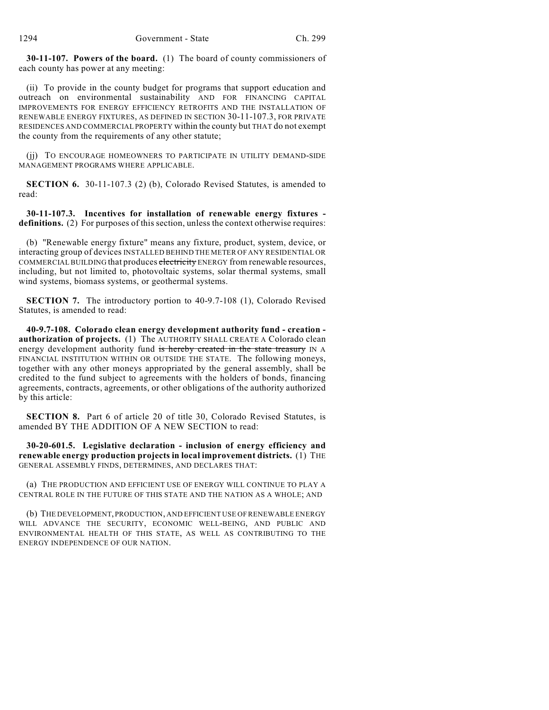**30-11-107. Powers of the board.** (1) The board of county commissioners of each county has power at any meeting:

(ii) To provide in the county budget for programs that support education and outreach on environmental sustainability AND FOR FINANCING CAPITAL IMPROVEMENTS FOR ENERGY EFFICIENCY RETROFITS AND THE INSTALLATION OF RENEWABLE ENERGY FIXTURES, AS DEFINED IN SECTION 30-11-107.3, FOR PRIVATE RESIDENCES AND COMMERCIAL PROPERTY within the county but THAT do not exempt the county from the requirements of any other statute;

(jj) TO ENCOURAGE HOMEOWNERS TO PARTICIPATE IN UTILITY DEMAND-SIDE MANAGEMENT PROGRAMS WHERE APPLICABLE.

**SECTION 6.** 30-11-107.3 (2) (b), Colorado Revised Statutes, is amended to read:

**30-11-107.3. Incentives for installation of renewable energy fixtures definitions.** (2) For purposes of this section, unless the context otherwise requires:

(b) "Renewable energy fixture" means any fixture, product, system, device, or interacting group of devices INSTALLED BEHIND THE METER OF ANY RESIDENTIAL OR COMMERCIAL BUILDING that produces electricity ENERGY from renewable resources, including, but not limited to, photovoltaic systems, solar thermal systems, small wind systems, biomass systems, or geothermal systems.

**SECTION 7.** The introductory portion to 40-9.7-108 (1), Colorado Revised Statutes, is amended to read:

**40-9.7-108. Colorado clean energy development authority fund - creation authorization of projects.** (1) The AUTHORITY SHALL CREATE A Colorado clean energy development authority fund is hereby created in the state treasury IN A FINANCIAL INSTITUTION WITHIN OR OUTSIDE THE STATE. The following moneys, together with any other moneys appropriated by the general assembly, shall be credited to the fund subject to agreements with the holders of bonds, financing agreements, contracts, agreements, or other obligations of the authority authorized by this article:

**SECTION 8.** Part 6 of article 20 of title 30, Colorado Revised Statutes, is amended BY THE ADDITION OF A NEW SECTION to read:

**30-20-601.5. Legislative declaration - inclusion of energy efficiency and renewable energy production projects in local improvement districts.** (1) THE GENERAL ASSEMBLY FINDS, DETERMINES, AND DECLARES THAT:

(a) THE PRODUCTION AND EFFICIENT USE OF ENERGY WILL CONTINUE TO PLAY A CENTRAL ROLE IN THE FUTURE OF THIS STATE AND THE NATION AS A WHOLE; AND

(b) THE DEVELOPMENT, PRODUCTION, AND EFFICIENT USE OF RENEWABLE ENERGY WILL ADVANCE THE SECURITY, ECONOMIC WELL-BEING, AND PUBLIC AND ENVIRONMENTAL HEALTH OF THIS STATE, AS WELL AS CONTRIBUTING TO THE ENERGY INDEPENDENCE OF OUR NATION.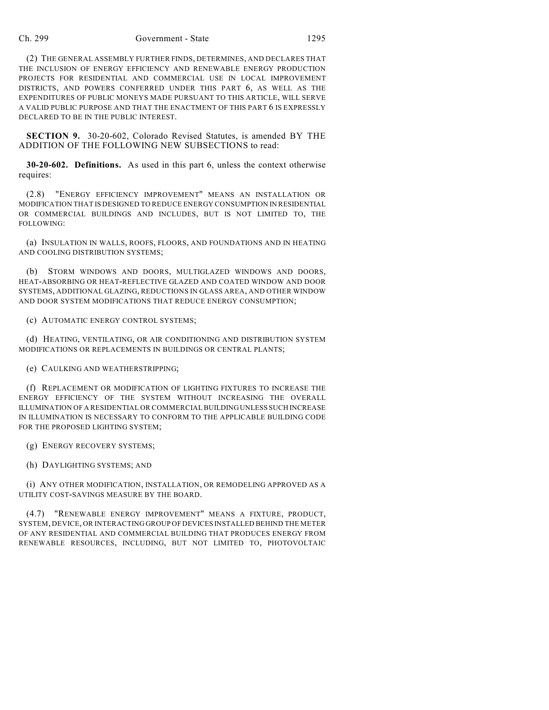### Ch. 299 Government - State 1295

(2) THE GENERAL ASSEMBLY FURTHER FINDS, DETERMINES, AND DECLARES THAT THE INCLUSION OF ENERGY EFFICIENCY AND RENEWABLE ENERGY PRODUCTION PROJECTS FOR RESIDENTIAL AND COMMERCIAL USE IN LOCAL IMPROVEMENT DISTRICTS, AND POWERS CONFERRED UNDER THIS PART 6, AS WELL AS THE EXPENDITURES OF PUBLIC MONEYS MADE PURSUANT TO THIS ARTICLE, WILL SERVE A VALID PUBLIC PURPOSE AND THAT THE ENACTMENT OF THIS PART 6 IS EXPRESSLY DECLARED TO BE IN THE PUBLIC INTEREST.

**SECTION 9.** 30-20-602, Colorado Revised Statutes, is amended BY THE ADDITION OF THE FOLLOWING NEW SUBSECTIONS to read:

**30-20-602. Definitions.** As used in this part 6, unless the context otherwise requires:

(2.8) "ENERGY EFFICIENCY IMPROVEMENT" MEANS AN INSTALLATION OR MODIFICATION THAT IS DESIGNED TO REDUCE ENERGY CONSUMPTION IN RESIDENTIAL OR COMMERCIAL BUILDINGS AND INCLUDES, BUT IS NOT LIMITED TO, THE FOLLOWING:

(a) INSULATION IN WALLS, ROOFS, FLOORS, AND FOUNDATIONS AND IN HEATING AND COOLING DISTRIBUTION SYSTEMS;

(b) STORM WINDOWS AND DOORS, MULTIGLAZED WINDOWS AND DOORS, HEAT-ABSORBING OR HEAT-REFLECTIVE GLAZED AND COATED WINDOW AND DOOR SYSTEMS, ADDITIONAL GLAZING, REDUCTIONS IN GLASS AREA, AND OTHER WINDOW AND DOOR SYSTEM MODIFICATIONS THAT REDUCE ENERGY CONSUMPTION;

## (c) AUTOMATIC ENERGY CONTROL SYSTEMS;

(d) HEATING, VENTILATING, OR AIR CONDITIONING AND DISTRIBUTION SYSTEM MODIFICATIONS OR REPLACEMENTS IN BUILDINGS OR CENTRAL PLANTS;

(e) CAULKING AND WEATHERSTRIPPING;

(f) REPLACEMENT OR MODIFICATION OF LIGHTING FIXTURES TO INCREASE THE ENERGY EFFICIENCY OF THE SYSTEM WITHOUT INCREASING THE OVERALL ILLUMINATION OF A RESIDENTIAL OR COMMERCIAL BUILDING UNLESS SUCH INCREASE IN ILLUMINATION IS NECESSARY TO CONFORM TO THE APPLICABLE BUILDING CODE FOR THE PROPOSED LIGHTING SYSTEM;

(g) ENERGY RECOVERY SYSTEMS;

(h) DAYLIGHTING SYSTEMS; AND

(i) ANY OTHER MODIFICATION, INSTALLATION, OR REMODELING APPROVED AS A UTILITY COST-SAVINGS MEASURE BY THE BOARD.

(4.7) "RENEWABLE ENERGY IMPROVEMENT" MEANS A FIXTURE, PRODUCT, SYSTEM, DEVICE, OR INTERACTING GROUP OF DEVICES INSTALLED BEHIND THE METER OF ANY RESIDENTIAL AND COMMERCIAL BUILDING THAT PRODUCES ENERGY FROM RENEWABLE RESOURCES, INCLUDING, BUT NOT LIMITED TO, PHOTOVOLTAIC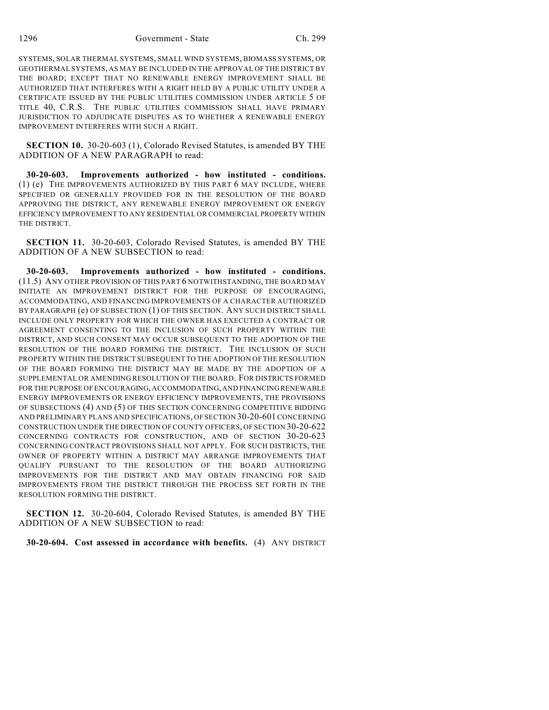SYSTEMS, SOLAR THERMAL SYSTEMS, SMALL WIND SYSTEMS, BIOMASS SYSTEMS, OR GEOTHERMAL SYSTEMS, AS MAY BE INCLUDED IN THE APPROVAL OF THE DISTRICT BY THE BOARD; EXCEPT THAT NO RENEWABLE ENERGY IMPROVEMENT SHALL BE AUTHORIZED THAT INTERFERES WITH A RIGHT HELD BY A PUBLIC UTILITY UNDER A CERTIFICATE ISSUED BY THE PUBLIC UTILITIES COMMISSION UNDER ARTICLE 5 OF TITLE 40, C.R.S. THE PUBLIC UTILITIES COMMISSION SHALL HAVE PRIMARY JURISDICTION TO ADJUDICATE DISPUTES AS TO WHETHER A RENEWABLE ENERGY IMPROVEMENT INTERFERES WITH SUCH A RIGHT.

**SECTION 10.** 30-20-603 (1), Colorado Revised Statutes, is amended BY THE ADDITION OF A NEW PARAGRAPH to read:

**30-20-603. Improvements authorized - how instituted - conditions.** (1) (e) THE IMPROVEMENTS AUTHORIZED BY THIS PART 6 MAY INCLUDE, WHERE SPECIFIED OR GENERALLY PROVIDED FOR IN THE RESOLUTION OF THE BOARD APPROVING THE DISTRICT, ANY RENEWABLE ENERGY IMPROVEMENT OR ENERGY EFFICIENCY IMPROVEMENT TO ANY RESIDENTIAL OR COMMERCIAL PROPERTY WITHIN THE DISTRICT.

**SECTION 11.** 30-20-603, Colorado Revised Statutes, is amended BY THE ADDITION OF A NEW SUBSECTION to read:

**30-20-603. Improvements authorized - how instituted - conditions.** (11.5) ANY OTHER PROVISION OF THIS PART 6 NOTWITHSTANDING, THE BOARD MAY INITIATE AN IMPROVEMENT DISTRICT FOR THE PURPOSE OF ENCOURAGING, ACCOMMODATING, AND FINANCING IMPROVEMENTS OF A CHARACTER AUTHORIZED BY PARAGRAPH (e) OF SUBSECTION (1) OF THIS SECTION. ANY SUCH DISTRICT SHALL INCLUDE ONLY PROPERTY FOR WHICH THE OWNER HAS EXECUTED A CONTRACT OR AGREEMENT CONSENTING TO THE INCLUSION OF SUCH PROPERTY WITHIN THE DISTRICT, AND SUCH CONSENT MAY OCCUR SUBSEQUENT TO THE ADOPTION OF THE RESOLUTION OF THE BOARD FORMING THE DISTRICT. THE INCLUSION OF SUCH PROPERTY WITHIN THE DISTRICT SUBSEQUENT TO THE ADOPTION OF THE RESOLUTION OF THE BOARD FORMING THE DISTRICT MAY BE MADE BY THE ADOPTION OF A SUPPLEMENTAL OR AMENDING RESOLUTION OF THE BOARD. FOR DISTRICTS FORMED FOR THE PURPOSE OF ENCOURAGING, ACCOMMODATING, AND FINANCING RENEWABLE ENERGY IMPROVEMENTS OR ENERGY EFFICIENCY IMPROVEMENTS, THE PROVISIONS OF SUBSECTIONS (4) AND (5) OF THIS SECTION CONCERNING COMPETITIVE BIDDING AND PRELIMINARY PLANS AND SPECIFICATIONS, OF SECTION 30-20-601 CONCERNING CONSTRUCTION UNDER THE DIRECTION OF COUNTY OFFICERS, OF SECTION 30-20-622 CONCERNING CONTRACTS FOR CONSTRUCTION, AND OF SECTION 30-20-623 CONCERNING CONTRACT PROVISIONS SHALL NOT APPLY. FOR SUCH DISTRICTS, THE OWNER OF PROPERTY WITHIN A DISTRICT MAY ARRANGE IMPROVEMENTS THAT QUALIFY PURSUANT TO THE RESOLUTION OF THE BOARD AUTHORIZING IMPROVEMENTS FOR THE DISTRICT AND MAY OBTAIN FINANCING FOR SAID IMPROVEMENTS FROM THE DISTRICT THROUGH THE PROCESS SET FORTH IN THE RESOLUTION FORMING THE DISTRICT.

**SECTION 12.** 30-20-604, Colorado Revised Statutes, is amended BY THE ADDITION OF A NEW SUBSECTION to read:

**30-20-604. Cost assessed in accordance with benefits.** (4) ANY DISTRICT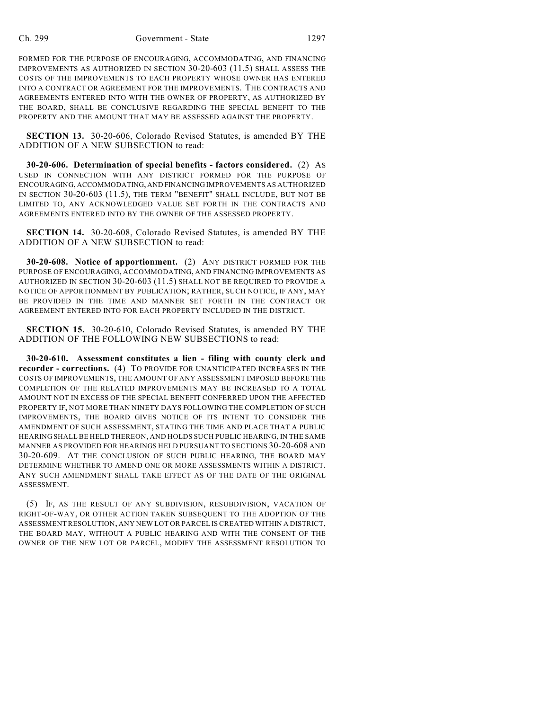FORMED FOR THE PURPOSE OF ENCOURAGING, ACCOMMODATING, AND FINANCING IMPROVEMENTS AS AUTHORIZED IN SECTION 30-20-603 (11.5) SHALL ASSESS THE COSTS OF THE IMPROVEMENTS TO EACH PROPERTY WHOSE OWNER HAS ENTERED INTO A CONTRACT OR AGREEMENT FOR THE IMPROVEMENTS. THE CONTRACTS AND AGREEMENTS ENTERED INTO WITH THE OWNER OF PROPERTY, AS AUTHORIZED BY THE BOARD, SHALL BE CONCLUSIVE REGARDING THE SPECIAL BENEFIT TO THE PROPERTY AND THE AMOUNT THAT MAY BE ASSESSED AGAINST THE PROPERTY.

**SECTION 13.** 30-20-606, Colorado Revised Statutes, is amended BY THE ADDITION OF A NEW SUBSECTION to read:

**30-20-606. Determination of special benefits - factors considered.** (2) AS USED IN CONNECTION WITH ANY DISTRICT FORMED FOR THE PURPOSE OF ENCOURAGING, ACCOMMODATING, AND FINANCING IMPROVEMENTS AS AUTHORIZED IN SECTION 30-20-603 (11.5), THE TERM "BENEFIT" SHALL INCLUDE, BUT NOT BE LIMITED TO, ANY ACKNOWLEDGED VALUE SET FORTH IN THE CONTRACTS AND AGREEMENTS ENTERED INTO BY THE OWNER OF THE ASSESSED PROPERTY.

**SECTION 14.** 30-20-608, Colorado Revised Statutes, is amended BY THE ADDITION OF A NEW SUBSECTION to read:

**30-20-608. Notice of apportionment.** (2) ANY DISTRICT FORMED FOR THE PURPOSE OF ENCOURAGING, ACCOMMODATING, AND FINANCING IMPROVEMENTS AS AUTHORIZED IN SECTION 30-20-603 (11.5) SHALL NOT BE REQUIRED TO PROVIDE A NOTICE OF APPORTIONMENT BY PUBLICATION; RATHER, SUCH NOTICE, IF ANY, MAY BE PROVIDED IN THE TIME AND MANNER SET FORTH IN THE CONTRACT OR AGREEMENT ENTERED INTO FOR EACH PROPERTY INCLUDED IN THE DISTRICT.

**SECTION 15.** 30-20-610, Colorado Revised Statutes, is amended BY THE ADDITION OF THE FOLLOWING NEW SUBSECTIONS to read:

**30-20-610. Assessment constitutes a lien - filing with county clerk and recorder - corrections.** (4) TO PROVIDE FOR UNANTICIPATED INCREASES IN THE COSTS OF IMPROVEMENTS, THE AMOUNT OF ANY ASSESSMENT IMPOSED BEFORE THE COMPLETION OF THE RELATED IMPROVEMENTS MAY BE INCREASED TO A TOTAL AMOUNT NOT IN EXCESS OF THE SPECIAL BENEFIT CONFERRED UPON THE AFFECTED PROPERTY IF, NOT MORE THAN NINETY DAYS FOLLOWING THE COMPLETION OF SUCH IMPROVEMENTS, THE BOARD GIVES NOTICE OF ITS INTENT TO CONSIDER THE AMENDMENT OF SUCH ASSESSMENT, STATING THE TIME AND PLACE THAT A PUBLIC HEARING SHALL BE HELD THEREON, AND HOLDS SUCH PUBLIC HEARING, IN THE SAME MANNER AS PROVIDED FOR HEARINGS HELD PURSUANT TO SECTIONS 30-20-608 AND 30-20-609. AT THE CONCLUSION OF SUCH PUBLIC HEARING, THE BOARD MAY DETERMINE WHETHER TO AMEND ONE OR MORE ASSESSMENTS WITHIN A DISTRICT. ANY SUCH AMENDMENT SHALL TAKE EFFECT AS OF THE DATE OF THE ORIGINAL ASSESSMENT.

(5) IF, AS THE RESULT OF ANY SUBDIVISION, RESUBDIVISION, VACATION OF RIGHT-OF-WAY, OR OTHER ACTION TAKEN SUBSEQUENT TO THE ADOPTION OF THE ASSESSMENT RESOLUTION, ANY NEW LOT OR PARCEL IS CREATED WITHIN A DISTRICT, THE BOARD MAY, WITHOUT A PUBLIC HEARING AND WITH THE CONSENT OF THE OWNER OF THE NEW LOT OR PARCEL, MODIFY THE ASSESSMENT RESOLUTION TO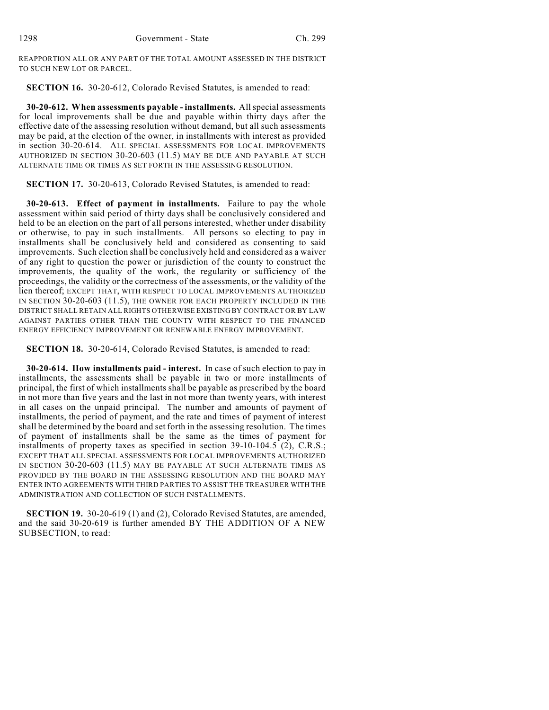REAPPORTION ALL OR ANY PART OF THE TOTAL AMOUNT ASSESSED IN THE DISTRICT TO SUCH NEW LOT OR PARCEL.

**SECTION 16.** 30-20-612, Colorado Revised Statutes, is amended to read:

**30-20-612. When assessments payable - installments.** All special assessments for local improvements shall be due and payable within thirty days after the effective date of the assessing resolution without demand, but all such assessments may be paid, at the election of the owner, in installments with interest as provided in section 30-20-614. ALL SPECIAL ASSESSMENTS FOR LOCAL IMPROVEMENTS AUTHORIZED IN SECTION 30-20-603 (11.5) MAY BE DUE AND PAYABLE AT SUCH ALTERNATE TIME OR TIMES AS SET FORTH IN THE ASSESSING RESOLUTION.

**SECTION 17.** 30-20-613, Colorado Revised Statutes, is amended to read:

**30-20-613. Effect of payment in installments.** Failure to pay the whole assessment within said period of thirty days shall be conclusively considered and held to be an election on the part of all persons interested, whether under disability or otherwise, to pay in such installments. All persons so electing to pay in installments shall be conclusively held and considered as consenting to said improvements. Such election shall be conclusively held and considered as a waiver of any right to question the power or jurisdiction of the county to construct the improvements, the quality of the work, the regularity or sufficiency of the proceedings, the validity or the correctness of the assessments, or the validity of the lien thereof; EXCEPT THAT, WITH RESPECT TO LOCAL IMPROVEMENTS AUTHORIZED IN SECTION 30-20-603 (11.5), THE OWNER FOR EACH PROPERTY INCLUDED IN THE DISTRICT SHALL RETAIN ALL RIGHTS OTHERWISE EXISTING BY CONTRACT OR BY LAW AGAINST PARTIES OTHER THAN THE COUNTY WITH RESPECT TO THE FINANCED ENERGY EFFICIENCY IMPROVEMENT OR RENEWABLE ENERGY IMPROVEMENT.

**SECTION 18.** 30-20-614, Colorado Revised Statutes, is amended to read:

**30-20-614. How installments paid - interest.** In case of such election to pay in installments, the assessments shall be payable in two or more installments of principal, the first of which installments shall be payable as prescribed by the board in not more than five years and the last in not more than twenty years, with interest in all cases on the unpaid principal. The number and amounts of payment of installments, the period of payment, and the rate and times of payment of interest shall be determined by the board and set forth in the assessing resolution. The times of payment of installments shall be the same as the times of payment for installments of property taxes as specified in section  $39-10-104.5$  (2), C.R.S.; EXCEPT THAT ALL SPECIAL ASSESSMENTS FOR LOCAL IMPROVEMENTS AUTHORIZED IN SECTION 30-20-603 (11.5) MAY BE PAYABLE AT SUCH ALTERNATE TIMES AS PROVIDED BY THE BOARD IN THE ASSESSING RESOLUTION AND THE BOARD MAY ENTER INTO AGREEMENTS WITH THIRD PARTIES TO ASSIST THE TREASURER WITH THE ADMINISTRATION AND COLLECTION OF SUCH INSTALLMENTS.

**SECTION 19.** 30-20-619 (1) and (2), Colorado Revised Statutes, are amended, and the said 30-20-619 is further amended BY THE ADDITION OF A NEW SUBSECTION, to read: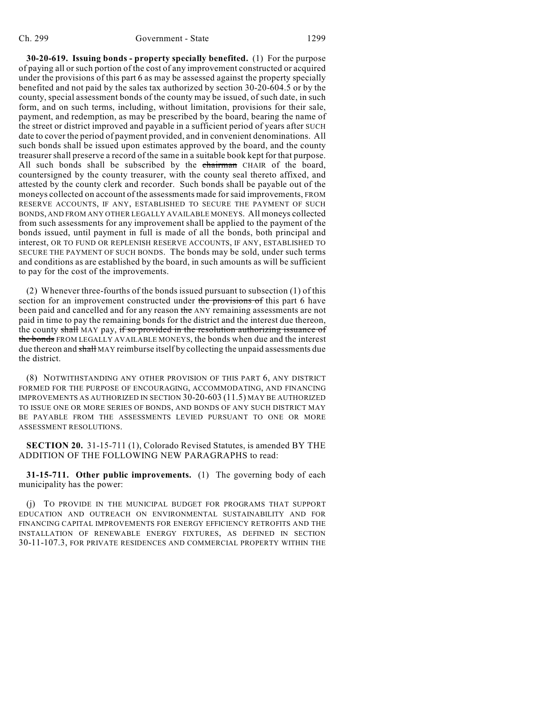**30-20-619. Issuing bonds - property specially benefited.** (1) For the purpose of paying all or such portion of the cost of any improvement constructed or acquired under the provisions of this part 6 as may be assessed against the property specially benefited and not paid by the sales tax authorized by section 30-20-604.5 or by the county, special assessment bonds of the county may be issued, of such date, in such form, and on such terms, including, without limitation, provisions for their sale, payment, and redemption, as may be prescribed by the board, bearing the name of the street or district improved and payable in a sufficient period of years after SUCH date to cover the period of payment provided, and in convenient denominations. All such bonds shall be issued upon estimates approved by the board, and the county treasurer shall preserve a record of the same in a suitable book kept for that purpose. All such bonds shall be subscribed by the chairman CHAIR of the board, countersigned by the county treasurer, with the county seal thereto affixed, and attested by the county clerk and recorder. Such bonds shall be payable out of the moneys collected on account of the assessments made for said improvements, FROM RESERVE ACCOUNTS, IF ANY, ESTABLISHED TO SECURE THE PAYMENT OF SUCH BONDS, AND FROM ANY OTHER LEGALLY AVAILABLE MONEYS. All moneys collected from such assessments for any improvement shall be applied to the payment of the bonds issued, until payment in full is made of all the bonds, both principal and interest, OR TO FUND OR REPLENISH RESERVE ACCOUNTS, IF ANY, ESTABLISHED TO SECURE THE PAYMENT OF SUCH BONDS. The bonds may be sold, under such terms and conditions as are established by the board, in such amounts as will be sufficient to pay for the cost of the improvements.

(2) Whenever three-fourths of the bonds issued pursuant to subsection (1) of this section for an improvement constructed under the provisions of this part 6 have been paid and cancelled and for any reason the ANY remaining assessments are not paid in time to pay the remaining bonds for the district and the interest due thereon, the county shall MAY pay, if so provided in the resolution authorizing issuance of the bonds FROM LEGALLY AVAILABLE MONEYS, the bonds when due and the interest due thereon and shall MAY reimburse itself by collecting the unpaid assessments due the district.

(8) NOTWITHSTANDING ANY OTHER PROVISION OF THIS PART 6, ANY DISTRICT FORMED FOR THE PURPOSE OF ENCOURAGING, ACCOMMODATING, AND FINANCING IMPROVEMENTS AS AUTHORIZED IN SECTION 30-20-603 (11.5) MAY BE AUTHORIZED TO ISSUE ONE OR MORE SERIES OF BONDS, AND BONDS OF ANY SUCH DISTRICT MAY BE PAYABLE FROM THE ASSESSMENTS LEVIED PURSUANT TO ONE OR MORE ASSESSMENT RESOLUTIONS.

**SECTION 20.** 31-15-711 (1), Colorado Revised Statutes, is amended BY THE ADDITION OF THE FOLLOWING NEW PARAGRAPHS to read:

**31-15-711. Other public improvements.** (1) The governing body of each municipality has the power:

(j) TO PROVIDE IN THE MUNICIPAL BUDGET FOR PROGRAMS THAT SUPPORT EDUCATION AND OUTREACH ON ENVIRONMENTAL SUSTAINABILITY AND FOR FINANCING CAPITAL IMPROVEMENTS FOR ENERGY EFFICIENCY RETROFITS AND THE INSTALLATION OF RENEWABLE ENERGY FIXTURES, AS DEFINED IN SECTION 30-11-107.3, FOR PRIVATE RESIDENCES AND COMMERCIAL PROPERTY WITHIN THE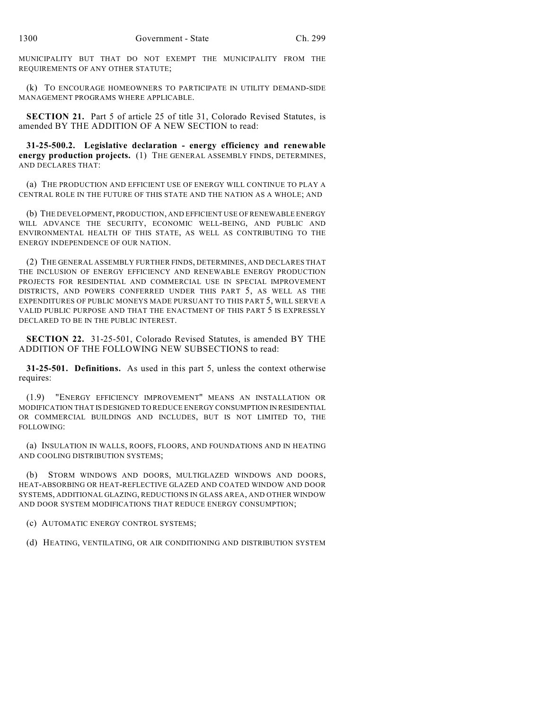MUNICIPALITY BUT THAT DO NOT EXEMPT THE MUNICIPALITY FROM THE REQUIREMENTS OF ANY OTHER STATUTE;

(k) TO ENCOURAGE HOMEOWNERS TO PARTICIPATE IN UTILITY DEMAND-SIDE MANAGEMENT PROGRAMS WHERE APPLICABLE.

**SECTION 21.** Part 5 of article 25 of title 31, Colorado Revised Statutes, is amended BY THE ADDITION OF A NEW SECTION to read:

**31-25-500.2. Legislative declaration - energy efficiency and renewable energy production projects.** (1) THE GENERAL ASSEMBLY FINDS, DETERMINES, AND DECLARES THAT:

(a) THE PRODUCTION AND EFFICIENT USE OF ENERGY WILL CONTINUE TO PLAY A CENTRAL ROLE IN THE FUTURE OF THIS STATE AND THE NATION AS A WHOLE; AND

(b) THE DEVELOPMENT, PRODUCTION, AND EFFICIENT USE OF RENEWABLE ENERGY WILL ADVANCE THE SECURITY, ECONOMIC WELL-BEING, AND PUBLIC AND ENVIRONMENTAL HEALTH OF THIS STATE, AS WELL AS CONTRIBUTING TO THE ENERGY INDEPENDENCE OF OUR NATION.

(2) THE GENERAL ASSEMBLY FURTHER FINDS, DETERMINES, AND DECLARES THAT THE INCLUSION OF ENERGY EFFICIENCY AND RENEWABLE ENERGY PRODUCTION PROJECTS FOR RESIDENTIAL AND COMMERCIAL USE IN SPECIAL IMPROVEMENT DISTRICTS, AND POWERS CONFERRED UNDER THIS PART 5, AS WELL AS THE EXPENDITURES OF PUBLIC MONEYS MADE PURSUANT TO THIS PART 5, WILL SERVE A VALID PUBLIC PURPOSE AND THAT THE ENACTMENT OF THIS PART 5 IS EXPRESSLY DECLARED TO BE IN THE PUBLIC INTEREST.

**SECTION 22.** 31-25-501, Colorado Revised Statutes, is amended BY THE ADDITION OF THE FOLLOWING NEW SUBSECTIONS to read:

**31-25-501. Definitions.** As used in this part 5, unless the context otherwise requires:

(1.9) "ENERGY EFFICIENCY IMPROVEMENT" MEANS AN INSTALLATION OR MODIFICATION THAT IS DESIGNED TO REDUCE ENERGY CONSUMPTION IN RESIDENTIAL OR COMMERCIAL BUILDINGS AND INCLUDES, BUT IS NOT LIMITED TO, THE FOLLOWING:

(a) INSULATION IN WALLS, ROOFS, FLOORS, AND FOUNDATIONS AND IN HEATING AND COOLING DISTRIBUTION SYSTEMS;

(b) STORM WINDOWS AND DOORS, MULTIGLAZED WINDOWS AND DOORS, HEAT-ABSORBING OR HEAT-REFLECTIVE GLAZED AND COATED WINDOW AND DOOR SYSTEMS, ADDITIONAL GLAZING, REDUCTIONS IN GLASS AREA, AND OTHER WINDOW AND DOOR SYSTEM MODIFICATIONS THAT REDUCE ENERGY CONSUMPTION;

(c) AUTOMATIC ENERGY CONTROL SYSTEMS;

(d) HEATING, VENTILATING, OR AIR CONDITIONING AND DISTRIBUTION SYSTEM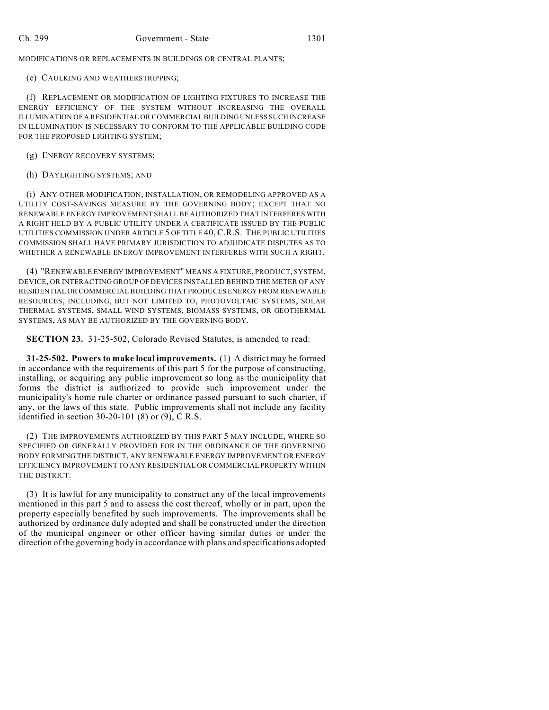MODIFICATIONS OR REPLACEMENTS IN BUILDINGS OR CENTRAL PLANTS;

## (e) CAULKING AND WEATHERSTRIPPING;

(f) REPLACEMENT OR MODIFICATION OF LIGHTING FIXTURES TO INCREASE THE ENERGY EFFICIENCY OF THE SYSTEM WITHOUT INCREASING THE OVERALL ILLUMINATION OF A RESIDENTIAL OR COMMERCIAL BUILDING UNLESS SUCH INCREASE IN ILLUMINATION IS NECESSARY TO CONFORM TO THE APPLICABLE BUILDING CODE FOR THE PROPOSED LIGHTING SYSTEM;

(g) ENERGY RECOVERY SYSTEMS;

(h) DAYLIGHTING SYSTEMS; AND

(i) ANY OTHER MODIFICATION, INSTALLATION, OR REMODELING APPROVED AS A UTILITY COST-SAVINGS MEASURE BY THE GOVERNING BODY; EXCEPT THAT NO RENEWABLE ENERGY IMPROVEMENT SHALL BE AUTHORIZED THAT INTERFERES WITH A RIGHT HELD BY A PUBLIC UTILITY UNDER A CERTIFICATE ISSUED BY THE PUBLIC UTILITIES COMMISSION UNDER ARTICLE 5 OF TITLE 40, C.R.S. THE PUBLIC UTILITIES COMMISSION SHALL HAVE PRIMARY JURISDICTION TO ADJUDICATE DISPUTES AS TO WHETHER A RENEWABLE ENERGY IMPROVEMENT INTERFERES WITH SUCH A RIGHT.

(4) "RENEWABLE ENERGY IMPROVEMENT" MEANS A FIXTURE, PRODUCT, SYSTEM, DEVICE, OR INTERACTING GROUP OF DEVICES INSTALLED BEHIND THE METER OF ANY RESIDENTIAL OR COMMERCIAL BUILDING THAT PRODUCES ENERGY FROM RENEWABLE RESOURCES, INCLUDING, BUT NOT LIMITED TO, PHOTOVOLTAIC SYSTEMS, SOLAR THERMAL SYSTEMS, SMALL WIND SYSTEMS, BIOMASS SYSTEMS, OR GEOTHERMAL SYSTEMS, AS MAY BE AUTHORIZED BY THE GOVERNING BODY.

**SECTION 23.** 31-25-502, Colorado Revised Statutes, is amended to read:

**31-25-502. Powers to make local improvements.** (1) A district may be formed in accordance with the requirements of this part 5 for the purpose of constructing, installing, or acquiring any public improvement so long as the municipality that forms the district is authorized to provide such improvement under the municipality's home rule charter or ordinance passed pursuant to such charter, if any, or the laws of this state. Public improvements shall not include any facility identified in section 30-20-101 (8) or (9), C.R.S.

(2) THE IMPROVEMENTS AUTHORIZED BY THIS PART 5 MAY INCLUDE, WHERE SO SPECIFIED OR GENERALLY PROVIDED FOR IN THE ORDINANCE OF THE GOVERNING BODY FORMING THE DISTRICT, ANY RENEWABLE ENERGY IMPROVEMENT OR ENERGY EFFICIENCY IMPROVEMENT TO ANY RESIDENTIAL OR COMMERCIAL PROPERTY WITHIN THE DISTRICT.

(3) It is lawful for any municipality to construct any of the local improvements mentioned in this part 5 and to assess the cost thereof, wholly or in part, upon the property especially benefited by such improvements. The improvements shall be authorized by ordinance duly adopted and shall be constructed under the direction of the municipal engineer or other officer having similar duties or under the direction of the governing body in accordance with plans and specifications adopted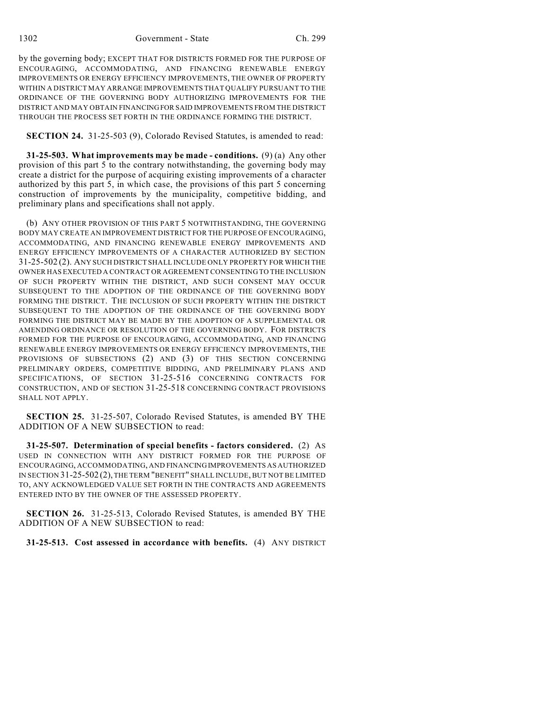1302 Government - State Ch. 299

by the governing body; EXCEPT THAT FOR DISTRICTS FORMED FOR THE PURPOSE OF ENCOURAGING, ACCOMMODATING, AND FINANCING RENEWABLE ENERGY IMPROVEMENTS OR ENERGY EFFICIENCY IMPROVEMENTS, THE OWNER OF PROPERTY WITHIN A DISTRICT MAY ARRANGE IMPROVEMENTS THAT QUALIFY PURSUANT TO THE ORDINANCE OF THE GOVERNING BODY AUTHORIZING IMPROVEMENTS FOR THE DISTRICT AND MAY OBTAIN FINANCING FOR SAID IMPROVEMENTS FROM THE DISTRICT THROUGH THE PROCESS SET FORTH IN THE ORDINANCE FORMING THE DISTRICT.

**SECTION 24.** 31-25-503 (9), Colorado Revised Statutes, is amended to read:

**31-25-503. What improvements may be made - conditions.** (9) (a) Any other provision of this part 5 to the contrary notwithstanding, the governing body may create a district for the purpose of acquiring existing improvements of a character authorized by this part 5, in which case, the provisions of this part 5 concerning construction of improvements by the municipality, competitive bidding, and preliminary plans and specifications shall not apply.

(b) ANY OTHER PROVISION OF THIS PART 5 NOTWITHSTANDING, THE GOVERNING BODY MAY CREATE AN IMPROVEMENT DISTRICT FOR THE PURPOSE OF ENCOURAGING, ACCOMMODATING, AND FINANCING RENEWABLE ENERGY IMPROVEMENTS AND ENERGY EFFICIENCY IMPROVEMENTS OF A CHARACTER AUTHORIZED BY SECTION 31-25-502 (2). ANY SUCH DISTRICT SHALL INCLUDE ONLY PROPERTY FOR WHICH THE OWNER HAS EXECUTED A CONTRACT OR AGREEMENT CONSENTING TO THE INCLUSION OF SUCH PROPERTY WITHIN THE DISTRICT, AND SUCH CONSENT MAY OCCUR SUBSEQUENT TO THE ADOPTION OF THE ORDINANCE OF THE GOVERNING BODY FORMING THE DISTRICT. THE INCLUSION OF SUCH PROPERTY WITHIN THE DISTRICT SUBSEQUENT TO THE ADOPTION OF THE ORDINANCE OF THE GOVERNING BODY FORMING THE DISTRICT MAY BE MADE BY THE ADOPTION OF A SUPPLEMENTAL OR AMENDING ORDINANCE OR RESOLUTION OF THE GOVERNING BODY. FOR DISTRICTS FORMED FOR THE PURPOSE OF ENCOURAGING, ACCOMMODATING, AND FINANCING RENEWABLE ENERGY IMPROVEMENTS OR ENERGY EFFICIENCY IMPROVEMENTS, THE PROVISIONS OF SUBSECTIONS (2) AND (3) OF THIS SECTION CONCERNING PRELIMINARY ORDERS, COMPETITIVE BIDDING, AND PRELIMINARY PLANS AND SPECIFICATIONS, OF SECTION 31-25-516 CONCERNING CONTRACTS FOR CONSTRUCTION, AND OF SECTION 31-25-518 CONCERNING CONTRACT PROVISIONS SHALL NOT APPLY.

**SECTION 25.** 31-25-507, Colorado Revised Statutes, is amended BY THE ADDITION OF A NEW SUBSECTION to read:

**31-25-507. Determination of special benefits - factors considered.** (2) AS USED IN CONNECTION WITH ANY DISTRICT FORMED FOR THE PURPOSE OF ENCOURAGING, ACCOMMODATING, AND FINANCING IMPROVEMENTS AS AUTHORIZED IN SECTION 31-25-502 (2), THE TERM "BENEFIT" SHALL INCLUDE, BUT NOT BE LIMITED TO, ANY ACKNOWLEDGED VALUE SET FORTH IN THE CONTRACTS AND AGREEMENTS ENTERED INTO BY THE OWNER OF THE ASSESSED PROPERTY.

**SECTION 26.** 31-25-513, Colorado Revised Statutes, is amended BY THE ADDITION OF A NEW SUBSECTION to read:

**31-25-513. Cost assessed in accordance with benefits.** (4) ANY DISTRICT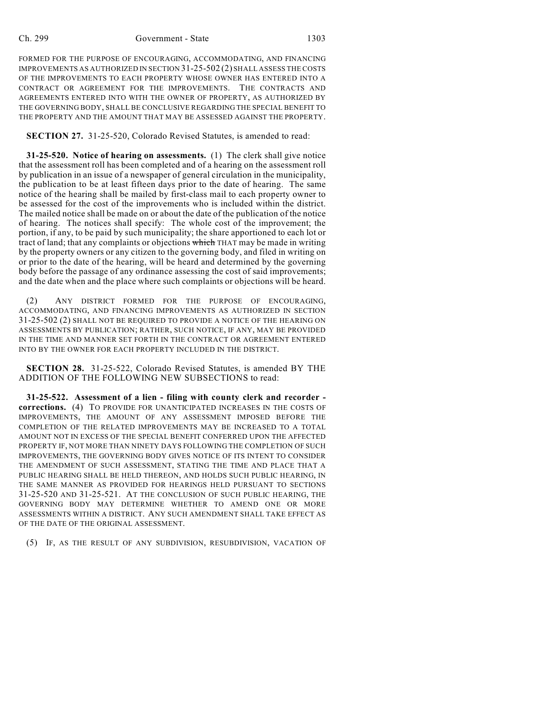### Ch. 299 Government - State 1303

FORMED FOR THE PURPOSE OF ENCOURAGING, ACCOMMODATING, AND FINANCING IMPROVEMENTS AS AUTHORIZED IN SECTION 31-25-502 (2) SHALL ASSESS THE COSTS OF THE IMPROVEMENTS TO EACH PROPERTY WHOSE OWNER HAS ENTERED INTO A CONTRACT OR AGREEMENT FOR THE IMPROVEMENTS. THE CONTRACTS AND AGREEMENTS ENTERED INTO WITH THE OWNER OF PROPERTY, AS AUTHORIZED BY THE GOVERNING BODY, SHALL BE CONCLUSIVE REGARDING THE SPECIAL BENEFIT TO THE PROPERTY AND THE AMOUNT THAT MAY BE ASSESSED AGAINST THE PROPERTY.

**SECTION 27.** 31-25-520, Colorado Revised Statutes, is amended to read:

**31-25-520. Notice of hearing on assessments.** (1) The clerk shall give notice that the assessment roll has been completed and of a hearing on the assessment roll by publication in an issue of a newspaper of general circulation in the municipality, the publication to be at least fifteen days prior to the date of hearing. The same notice of the hearing shall be mailed by first-class mail to each property owner to be assessed for the cost of the improvements who is included within the district. The mailed notice shall be made on or about the date of the publication of the notice of hearing. The notices shall specify: The whole cost of the improvement; the portion, if any, to be paid by such municipality; the share apportioned to each lot or tract of land; that any complaints or objections which THAT may be made in writing by the property owners or any citizen to the governing body, and filed in writing on or prior to the date of the hearing, will be heard and determined by the governing body before the passage of any ordinance assessing the cost of said improvements; and the date when and the place where such complaints or objections will be heard.

(2) ANY DISTRICT FORMED FOR THE PURPOSE OF ENCOURAGING, ACCOMMODATING, AND FINANCING IMPROVEMENTS AS AUTHORIZED IN SECTION 31-25-502 (2) SHALL NOT BE REQUIRED TO PROVIDE A NOTICE OF THE HEARING ON ASSESSMENTS BY PUBLICATION; RATHER, SUCH NOTICE, IF ANY, MAY BE PROVIDED IN THE TIME AND MANNER SET FORTH IN THE CONTRACT OR AGREEMENT ENTERED INTO BY THE OWNER FOR EACH PROPERTY INCLUDED IN THE DISTRICT.

**SECTION 28.** 31-25-522, Colorado Revised Statutes, is amended BY THE ADDITION OF THE FOLLOWING NEW SUBSECTIONS to read:

**31-25-522. Assessment of a lien - filing with county clerk and recorder corrections.** (4) TO PROVIDE FOR UNANTICIPATED INCREASES IN THE COSTS OF IMPROVEMENTS, THE AMOUNT OF ANY ASSESSMENT IMPOSED BEFORE THE COMPLETION OF THE RELATED IMPROVEMENTS MAY BE INCREASED TO A TOTAL AMOUNT NOT IN EXCESS OF THE SPECIAL BENEFIT CONFERRED UPON THE AFFECTED PROPERTY IF, NOT MORE THAN NINETY DAYS FOLLOWING THE COMPLETION OF SUCH IMPROVEMENTS, THE GOVERNING BODY GIVES NOTICE OF ITS INTENT TO CONSIDER THE AMENDMENT OF SUCH ASSESSMENT, STATING THE TIME AND PLACE THAT A PUBLIC HEARING SHALL BE HELD THEREON, AND HOLDS SUCH PUBLIC HEARING, IN THE SAME MANNER AS PROVIDED FOR HEARINGS HELD PURSUANT TO SECTIONS 31-25-520 AND 31-25-521. AT THE CONCLUSION OF SUCH PUBLIC HEARING, THE GOVERNING BODY MAY DETERMINE WHETHER TO AMEND ONE OR MORE ASSESSMENTS WITHIN A DISTRICT. ANY SUCH AMENDMENT SHALL TAKE EFFECT AS OF THE DATE OF THE ORIGINAL ASSESSMENT.

(5) IF, AS THE RESULT OF ANY SUBDIVISION, RESUBDIVISION, VACATION OF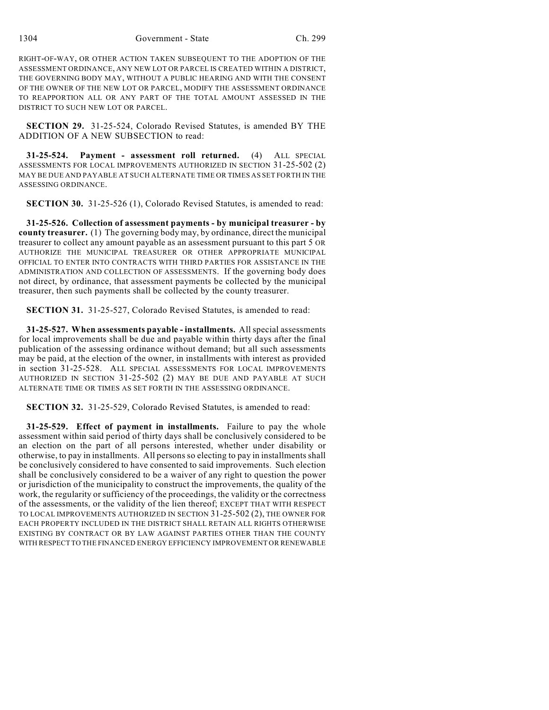1304 Government - State Ch. 299

RIGHT-OF-WAY, OR OTHER ACTION TAKEN SUBSEQUENT TO THE ADOPTION OF THE ASSESSMENT ORDINANCE, ANY NEW LOT OR PARCEL IS CREATED WITHIN A DISTRICT, THE GOVERNING BODY MAY, WITHOUT A PUBLIC HEARING AND WITH THE CONSENT OF THE OWNER OF THE NEW LOT OR PARCEL, MODIFY THE ASSESSMENT ORDINANCE TO REAPPORTION ALL OR ANY PART OF THE TOTAL AMOUNT ASSESSED IN THE DISTRICT TO SUCH NEW LOT OR PARCEL.

**SECTION 29.** 31-25-524, Colorado Revised Statutes, is amended BY THE ADDITION OF A NEW SUBSECTION to read:

**31-25-524. Payment - assessment roll returned.** (4) ALL SPECIAL ASSESSMENTS FOR LOCAL IMPROVEMENTS AUTHORIZED IN SECTION 31-25-502 (2) MAY BE DUE AND PAYABLE AT SUCH ALTERNATE TIME OR TIMES AS SET FORTH IN THE ASSESSING ORDINANCE.

**SECTION 30.** 31-25-526 (1), Colorado Revised Statutes, is amended to read:

**31-25-526. Collection of assessment payments - by municipal treasurer - by county treasurer.** (1) The governing body may, by ordinance, direct the municipal treasurer to collect any amount payable as an assessment pursuant to this part 5 OR AUTHORIZE THE MUNICIPAL TREASURER OR OTHER APPROPRIATE MUNICIPAL OFFICIAL TO ENTER INTO CONTRACTS WITH THIRD PARTIES FOR ASSISTANCE IN THE ADMINISTRATION AND COLLECTION OF ASSESSMENTS. If the governing body does not direct, by ordinance, that assessment payments be collected by the municipal treasurer, then such payments shall be collected by the county treasurer.

**SECTION 31.** 31-25-527, Colorado Revised Statutes, is amended to read:

**31-25-527. When assessments payable - installments.** All special assessments for local improvements shall be due and payable within thirty days after the final publication of the assessing ordinance without demand; but all such assessments may be paid, at the election of the owner, in installments with interest as provided in section 31-25-528. ALL SPECIAL ASSESSMENTS FOR LOCAL IMPROVEMENTS AUTHORIZED IN SECTION 31-25-502 (2) MAY BE DUE AND PAYABLE AT SUCH ALTERNATE TIME OR TIMES AS SET FORTH IN THE ASSESSING ORDINANCE.

**SECTION 32.** 31-25-529, Colorado Revised Statutes, is amended to read:

**31-25-529. Effect of payment in installments.** Failure to pay the whole assessment within said period of thirty days shall be conclusively considered to be an election on the part of all persons interested, whether under disability or otherwise, to pay in installments. All persons so electing to pay in installments shall be conclusively considered to have consented to said improvements. Such election shall be conclusively considered to be a waiver of any right to question the power or jurisdiction of the municipality to construct the improvements, the quality of the work, the regularity or sufficiency of the proceedings, the validity or the correctness of the assessments, or the validity of the lien thereof; EXCEPT THAT WITH RESPECT TO LOCAL IMPROVEMENTS AUTHORIZED IN SECTION 31-25-502 (2), THE OWNER FOR EACH PROPERTY INCLUDED IN THE DISTRICT SHALL RETAIN ALL RIGHTS OTHERWISE EXISTING BY CONTRACT OR BY LAW AGAINST PARTIES OTHER THAN THE COUNTY WITH RESPECT TO THE FINANCED ENERGY EFFICIENCY IMPROVEMENT OR RENEWABLE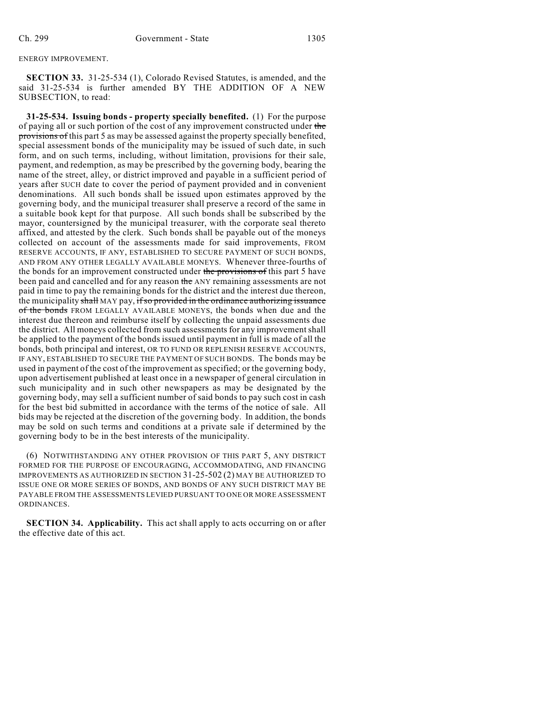ENERGY IMPROVEMENT.

**SECTION 33.** 31-25-534 (1), Colorado Revised Statutes, is amended, and the said 31-25-534 is further amended BY THE ADDITION OF A NEW SUBSECTION, to read:

**31-25-534. Issuing bonds - property specially benefited.** (1) For the purpose of paying all or such portion of the cost of any improvement constructed under the provisions of this part 5 as may be assessed against the property specially benefited, special assessment bonds of the municipality may be issued of such date, in such form, and on such terms, including, without limitation, provisions for their sale, payment, and redemption, as may be prescribed by the governing body, bearing the name of the street, alley, or district improved and payable in a sufficient period of years after SUCH date to cover the period of payment provided and in convenient denominations. All such bonds shall be issued upon estimates approved by the governing body, and the municipal treasurer shall preserve a record of the same in a suitable book kept for that purpose. All such bonds shall be subscribed by the mayor, countersigned by the municipal treasurer, with the corporate seal thereto affixed, and attested by the clerk. Such bonds shall be payable out of the moneys collected on account of the assessments made for said improvements, FROM RESERVE ACCOUNTS, IF ANY, ESTABLISHED TO SECURE PAYMENT OF SUCH BONDS, AND FROM ANY OTHER LEGALLY AVAILABLE MONEYS. Whenever three-fourths of the bonds for an improvement constructed under the provisions of this part 5 have been paid and cancelled and for any reason the ANY remaining assessments are not paid in time to pay the remaining bonds for the district and the interest due thereon, the municipality shall MAY pay, if so provided in the ordinance authorizing issuance of the bonds FROM LEGALLY AVAILABLE MONEYS, the bonds when due and the interest due thereon and reimburse itself by collecting the unpaid assessments due the district. All moneys collected from such assessments for any improvement shall be applied to the payment of the bonds issued until payment in full is made of all the bonds, both principal and interest, OR TO FUND OR REPLENISH RESERVE ACCOUNTS, IF ANY, ESTABLISHED TO SECURE THE PAYMENT OF SUCH BONDS. The bonds may be used in payment of the cost of the improvement as specified; or the governing body, upon advertisement published at least once in a newspaper of general circulation in such municipality and in such other newspapers as may be designated by the governing body, may sell a sufficient number of said bonds to pay such cost in cash for the best bid submitted in accordance with the terms of the notice of sale. All bids may be rejected at the discretion of the governing body. In addition, the bonds may be sold on such terms and conditions at a private sale if determined by the governing body to be in the best interests of the municipality.

(6) NOTWITHSTANDING ANY OTHER PROVISION OF THIS PART 5, ANY DISTRICT FORMED FOR THE PURPOSE OF ENCOURAGING, ACCOMMODATING, AND FINANCING IMPROVEMENTS AS AUTHORIZED IN SECTION 31-25-502 (2) MAY BE AUTHORIZED TO ISSUE ONE OR MORE SERIES OF BONDS, AND BONDS OF ANY SUCH DISTRICT MAY BE PAYABLE FROM THE ASSESSMENTS LEVIED PURSUANT TO ONE OR MORE ASSESSMENT ORDINANCES.

**SECTION 34. Applicability.** This act shall apply to acts occurring on or after the effective date of this act.